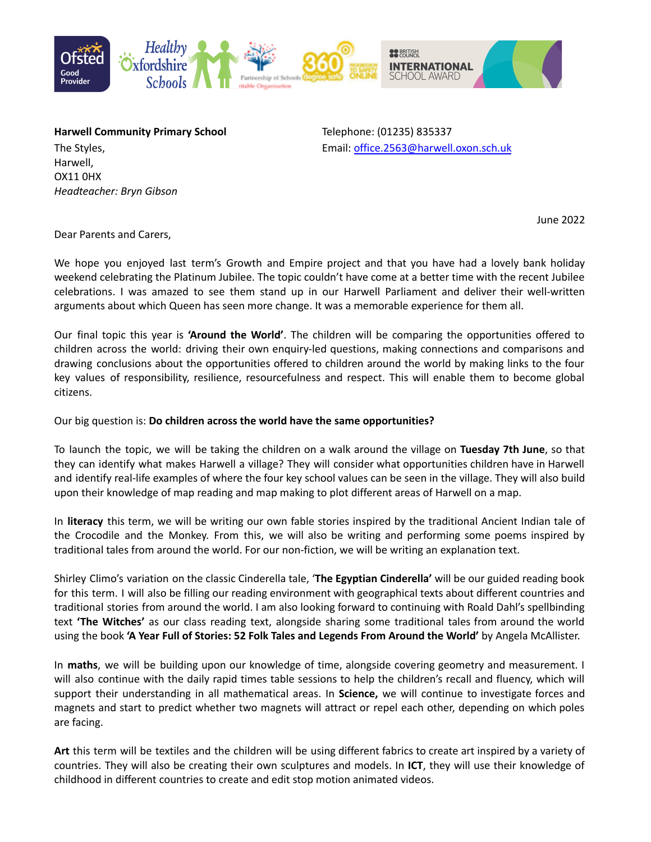

Harwell, OX11 0HX *Headteacher: Bryn Gibson*

**Harwell Community Primary School** Telephone: (01235) 835337 The Styles, Email: [office.2563@harwell.oxon.sch.uk](mailto:office.2563@harwell.oxon.sch.uk)

June 2022

Dear Parents and Carers,

We hope you enjoyed last term's Growth and Empire project and that you have had a lovely bank holiday weekend celebrating the Platinum Jubilee. The topic couldn't have come at a better time with the recent Jubilee celebrations. I was amazed to see them stand up in our Harwell Parliament and deliver their well-written arguments about which Queen has seen more change. It was a memorable experience for them all.

Our final topic this year is **'Around the World'**. The children will be comparing the opportunities offered to children across the world: driving their own enquiry-led questions, making connections and comparisons and drawing conclusions about the opportunities offered to children around the world by making links to the four key values of responsibility, resilience, resourcefulness and respect. This will enable them to become global citizens.

Our big question is: **Do children across the world have the same opportunities?**

To launch the topic, we will be taking the children on a walk around the village on **Tuesday 7th June**, so that they can identify what makes Harwell a village? They will consider what opportunities children have in Harwell and identify real-life examples of where the four key school values can be seen in the village. They will also build upon their knowledge of map reading and map making to plot different areas of Harwell on a map.

In **literacy** this term, we will be writing our own fable stories inspired by the traditional Ancient Indian tale of the Crocodile and the Monkey. From this, we will also be writing and performing some poems inspired by traditional tales from around the world. For our non-fiction, we will be writing an explanation text.

Shirley Climo's variation on the classic Cinderella tale, '**The Egyptian Cinderella'** will be our guided reading book for this term. I will also be filling our reading environment with geographical texts about different countries and traditional stories from around the world. I am also looking forward to continuing with Roald Dahl's spellbinding text **'The Witches'** as our class reading text, alongside sharing some traditional tales from around the world using the book **'A Year Full of Stories: 52 Folk Tales and Legends From Around the World'** by Angela McAllister.

In **maths**, we will be building upon our knowledge of time, alongside covering geometry and measurement. I will also continue with the daily rapid times table sessions to help the children's recall and fluency, which will support their understanding in all mathematical areas. In **Science,** we will continue to investigate forces and magnets and start to predict whether two magnets will attract or repel each other, depending on which poles are facing.

**Art** this term will be textiles and the children will be using different fabrics to create art inspired by a variety of countries. They will also be creating their own sculptures and models. In **ICT**, they will use their knowledge of childhood in different countries to create and edit stop motion animated videos.